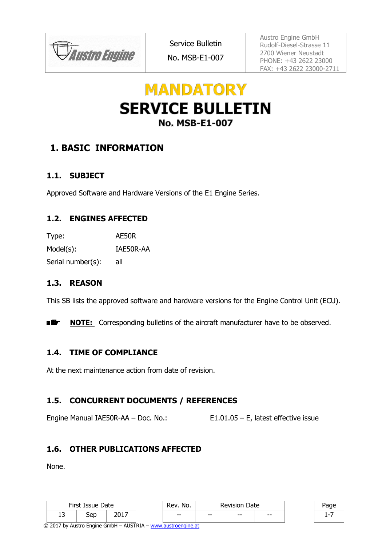**JAustro Engine** 

No. MSB-E1-007

Austro Engine GmbH Rudolf-Diesel-Strasse 11 2700 Wiener Neustadt PHONE: +43 2622 23000 FAX: +43 2622 23000-2711

# **MANDATORY SERVICE BULLETIN No. MSB-E1-007**

## **1. BASIC INFORMATION**

## **1.1. SUBJECT**

Approved Software and Hardware Versions of the E1 Engine Series.

## **1.2. ENGINES AFFECTED**

Type: AE50R Model(s): IAE50R-AA Serial number(s): all

### **1.3. REASON**

This SB lists the approved software and hardware versions for the Engine Control Unit (ECU).

■维 **NOTE:** Corresponding bulletins of the aircraft manufacturer have to be observed.

## <span id="page-0-0"></span>**1.4. TIME OF COMPLIANCE**

At the next maintenance action from date of revision.

## **1.5. CONCURRENT DOCUMENTS / REFERENCES**

Engine Manual IAE50R-AA – Doc. No.: E1.01.05 – E, latest effective issue

### **1.6. OTHER PUBLICATIONS AFFECTED**

None.

|          | First Issue Date |               | Rev.<br>No. |       | Revision<br>Date |     | aae |
|----------|------------------|---------------|-------------|-------|------------------|-----|-----|
| . .<br>ᆚ | Sep              | ד וחר<br>2017 | $- -$       | $- -$ | $- -$            | $-$ |     |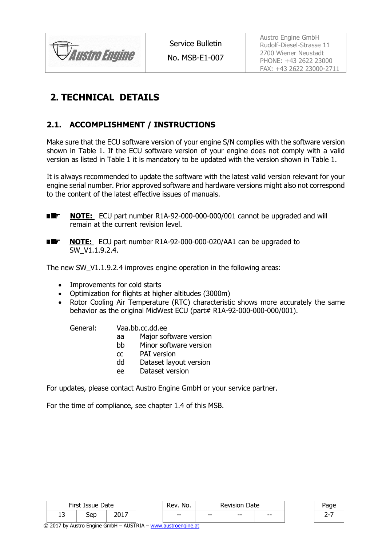

No. MSB-E1-007

Austro Engine GmbH Rudolf-Diesel-Strasse 11 2700 Wiener Neustadt PHONE: +43 2622 23000 FAX: +43 2622 23000-2711

## **2. TECHNICAL DETAILS**

## <span id="page-1-0"></span>**2.1. ACCOMPLISHMENT / INSTRUCTIONS**

Make sure that the ECU software version of your engine S/N complies with the software version shown in Table 1. If the ECU software version of your engine does not comply with a valid version as listed in Table 1 it is mandatory to be updated with the version shown in Table 1.

It is always recommended to update the software with the latest valid version relevant for your engine serial number. Prior approved software and hardware versions might also not correspond to the content of the latest effective issues of manuals.

- ■维」 **NOTE:** ECU part number R1A-92-000-000-000/001 cannot be upgraded and will remain at the current revision level.
- **NOTE:** ECU part number R1A-92-000-000-020/AA1 can be upgraded to 国郎一 SW\_V1.1.9.2.4.

The new SW V1.1.9.2.4 improves engine operation in the following areas:

- Improvements for cold starts
- Optimization for flights at higher altitudes (3000m)
- Rotor Cooling Air Temperature (RTC) characteristic shows more accurately the same behavior as the original MidWest ECU (part# R1A-92-000-000-000/001).

General: Vaa.bb.cc.dd.ee

- aa Major software version
- bb Minor software version
- cc PAI version
- dd Dataset layout version
- ee Dataset version

For updates, please contact Austro Engine GmbH or your service partner.

For the time of compliance, see chapter 1.4 of this MSB.

|        | First Issue Date |              | ום (<br>No. |       | Date  |       |   |
|--------|------------------|--------------|-------------|-------|-------|-------|---|
| -<br>∸ | `en<br>ししし       | つへっつ<br>____ | $- -$       | $- -$ | $- -$ | $- -$ | - |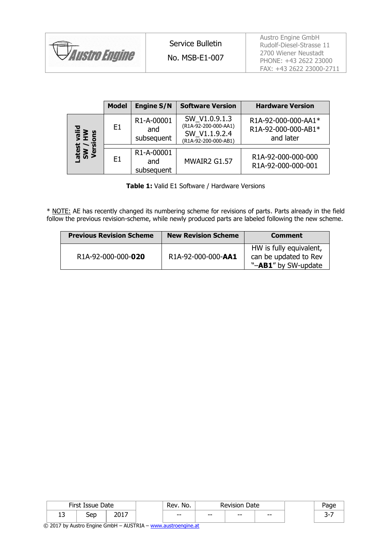| <b>Austro Engine</b> | Service Bulletin<br>No. MSB-E1-007 | Austro Engine GmbH<br>Rudolf-Diesel-Strasse 11<br>2700 Wiener Neustadt<br>PHONE: +43 2622 23000 |
|----------------------|------------------------------------|-------------------------------------------------------------------------------------------------|
|                      |                                    | FAX: +43 2622 23000-2711                                                                        |

|                   | <b>Model</b> | <b>Engine S/N</b>               | <b>Software Version</b>                                                        | <b>Hardware Version</b>                                 |
|-------------------|--------------|---------------------------------|--------------------------------------------------------------------------------|---------------------------------------------------------|
| aiid<br>H≥<br>ons | E1           | R1-A-00001<br>and<br>subsequent | SW_V1.0.9.1.3<br>(R1A-92-200-000-AA1)<br>SW V1.1.9.2.4<br>(R1A-92-200-000-AB1) | R1A-92-000-000-AA1*<br>R1A-92-000-000-AB1*<br>and later |
| छ X<br>इँ<br>अ    | F1           | R1-A-00001<br>and<br>subsequent | MWAIR2 G1.57                                                                   | R1A-92-000-000-000<br>R1A-92-000-000-001                |

**Table 1:** Valid E1 Software / Hardware Versions

\* NOTE: AE has recently changed its numbering scheme for revisions of parts. Parts already in the field follow the previous revision-scheme, while newly produced parts are labeled following the new scheme.

| <b>Previous Revision Scheme</b> | <b>New Revision Scheme</b> | <b>Comment</b>                                                          |
|---------------------------------|----------------------------|-------------------------------------------------------------------------|
| R1A-92-000-000-020              | R1A-92-000-000-AA1         | HW is fully equivalent,<br>can be updated to Rev<br>"-AB1" by SW-update |

|           | First Issue Date |       | Rev.<br>No. |       | Date<br>Revision |       |  |
|-----------|------------------|-------|-------------|-------|------------------|-------|--|
| -<br>ں ہے | Sep              | ד וחר | $- -$       | $- -$ | $- -$            | $- -$ |  |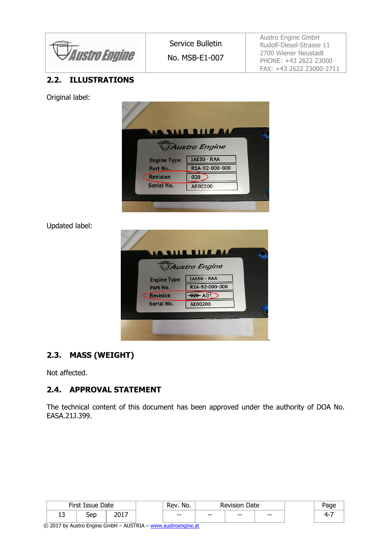*Austro Engine* 

No. MSB-E1-007

Austro Engine GmbH Rudolf-Diesel-Strasse 11 2700 Wiener Neustadt PHONE: +43 2622 23000 FAX: +43 2622 23000-2711

## **2.2. ILLUSTRATIONS**

Original label:



Updated label:

| W                  | <b>A BALA BLIE ALA</b> |  |
|--------------------|------------------------|--|
|                    | Austro Engine          |  |
| <b>Engine Type</b> | <b>IAE50 - RAA</b>     |  |
| Part No.           | R1A-92-000-000         |  |
| <b>Revision</b>    | 020 AB1                |  |
| Serial No.         | AE00200                |  |
|                    |                        |  |

## **2.3. MASS (WEIGHT)**

Not affected.

## **2.4. APPROVAL STATEMENT**

The technical content of this document has been approved under the authority of DOA No. EASA.21J.399.

|         | First Issue Date |       | Rev<br>No. |       | Date<br>Revision |       | aac |
|---------|------------------|-------|------------|-------|------------------|-------|-----|
| רי<br>ᅩ | ∶on<br>JCD       | ד רחר | $- -$      | $- -$ | $- -$            | $- -$ | ഺ   |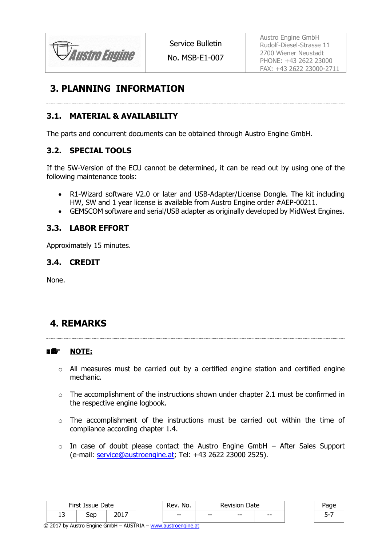*Austro Engine* 

No. MSB-E1-007

Austro Engine GmbH Rudolf-Diesel-Strasse 11 2700 Wiener Neustadt PHONE: +43 2622 23000 FAX: +43 2622 23000-2711

## **3. PLANNING INFORMATION**

### **3.1. MATERIAL & AVAILABILITY**

The parts and concurrent documents can be obtained through Austro Engine GmbH.

### **3.2. SPECIAL TOOLS**

If the SW-Version of the ECU cannot be determined, it can be read out by using one of the following maintenance tools:

- R1-Wizard software V2.0 or later and USB-Adapter/License Dongle. The kit including HW, SW and 1 year license is available from Austro Engine order #AEP-00211.
- GEMSCOM software and serial/USB adapter as originally developed by MidWest Engines.

### **3.3. LABOR EFFORT**

Approximately 15 minutes.

### **3.4. CREDIT**

None.

## **4. REMARKS**

#### ■鑑 **NOTE:**

- o All measures must be carried out by a certified engine station and certified engine mechanic.
- $\circ$  The accomplishment of the instructions shown under chapter [2.1](#page-1-0) must be confirmed in the respective engine logbook.
- o The accomplishment of the instructions must be carried out within the time of compliance according chapter [1.4.](#page-0-0)
- $\circ$  In case of doubt please contact the Austro Engine GmbH After Sales Support (e-mail: [service@austroengine.at;](mailto:service@austroengine.at) Tel: +43 2622 23000 2525).

|        | First Issue Date |               | No.<br>Rev. |       | <b>Revision Date</b> |       |  |
|--------|------------------|---------------|-------------|-------|----------------------|-------|--|
| ∽<br>ᅩ | Sep              | ากฯ ¬<br>2017 | $- -$       | $- -$ | $- -$                | $- -$ |  |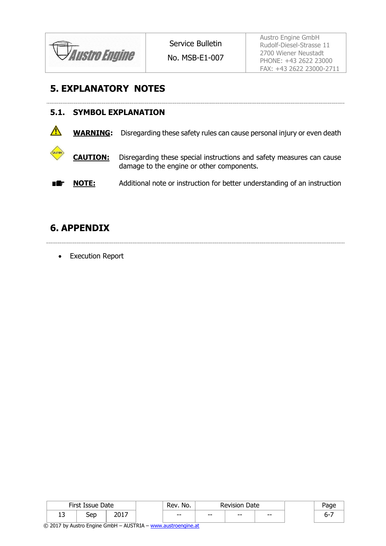

No. MSB-E1-007

Austro Engine GmbH Rudolf-Diesel-Strasse 11 2700 Wiener Neustadt PHONE: +43 2622 23000 FAX: +43 2622 23000-2711

## **5. EXPLANATORY NOTES**

|              |                 | <b>5.1. SYMBOL EXPLANATION</b>                                                                                     |  |  |  |  |  |  |  |
|--------------|-----------------|--------------------------------------------------------------------------------------------------------------------|--|--|--|--|--|--|--|
| $\mathbb{A}$ |                 | <b>WARNING:</b> Disregarding these safety rules can cause personal injury or even death                            |  |  |  |  |  |  |  |
| CAUTION      | <b>CAUTION:</b> | Disregarding these special instructions and safety measures can cause<br>damage to the engine or other components. |  |  |  |  |  |  |  |
| 閣議           | <b>NOTE:</b>    | Additional note or instruction for better understanding of an instruction                                          |  |  |  |  |  |  |  |

## **6. APPENDIX**

• Execution Report

|        | First Issue Date |               | kev.<br>No. |       | Date<br><b>Revision</b> |       | aae |
|--------|------------------|---------------|-------------|-------|-------------------------|-------|-----|
| -<br>ᆚ | Sep              | ד וחר<br>2017 | $- -$       | $- -$ | $- -$                   | $- -$ |     |